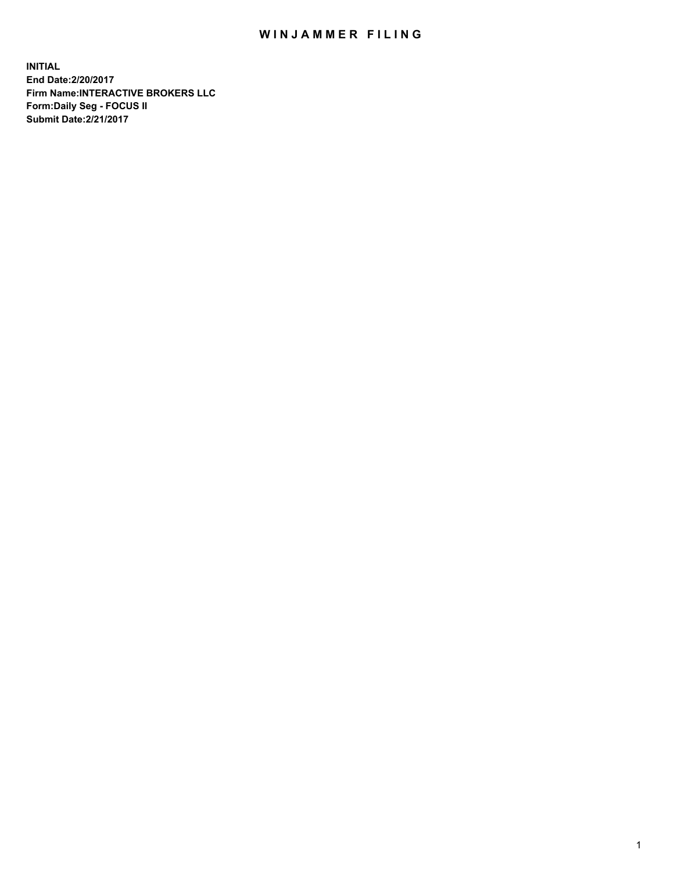## WIN JAMMER FILING

**INITIAL End Date:2/20/2017 Firm Name:INTERACTIVE BROKERS LLC Form:Daily Seg - FOCUS II Submit Date:2/21/2017**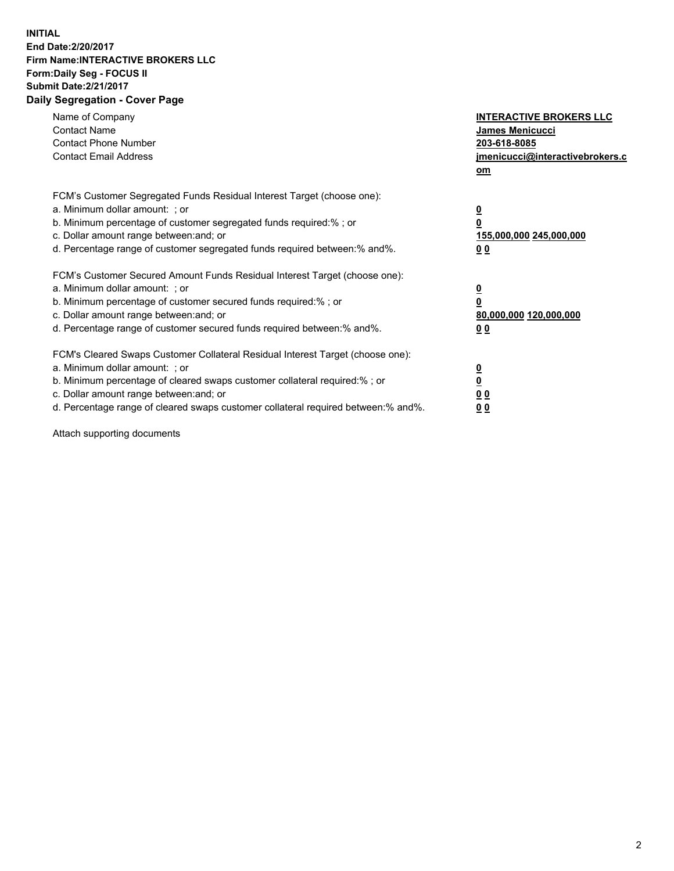## **INITIAL End Date:2/20/2017 Firm Name:INTERACTIVE BROKERS LLC Form:Daily Seg - FOCUS II Submit Date:2/21/2017 Daily Segregation - Cover Page**

| Name of Company<br><b>Contact Name</b><br><b>Contact Phone Number</b><br><b>Contact Email Address</b>                                                                                                                                                                                                                          | <b>INTERACTIVE BROKERS LLC</b><br><b>James Menicucci</b><br>203-618-8085<br>jmenicucci@interactivebrokers.c<br>om |
|--------------------------------------------------------------------------------------------------------------------------------------------------------------------------------------------------------------------------------------------------------------------------------------------------------------------------------|-------------------------------------------------------------------------------------------------------------------|
| FCM's Customer Segregated Funds Residual Interest Target (choose one):<br>a. Minimum dollar amount: ; or<br>b. Minimum percentage of customer segregated funds required:%; or<br>c. Dollar amount range between: and; or<br>d. Percentage range of customer segregated funds required between:% and%.                          | $\overline{\mathbf{0}}$<br>0<br>155,000,000 245,000,000<br>0 <sub>0</sub>                                         |
| FCM's Customer Secured Amount Funds Residual Interest Target (choose one):<br>a. Minimum dollar amount: ; or<br>b. Minimum percentage of customer secured funds required:%; or<br>c. Dollar amount range between: and; or<br>d. Percentage range of customer secured funds required between: % and %.                          | $\overline{\mathbf{0}}$<br>0<br>80,000,000 120,000,000<br>0 <sub>0</sub>                                          |
| FCM's Cleared Swaps Customer Collateral Residual Interest Target (choose one):<br>a. Minimum dollar amount: ; or<br>b. Minimum percentage of cleared swaps customer collateral required:% ; or<br>c. Dollar amount range between: and; or<br>d. Percentage range of cleared swaps customer collateral required between:% and%. | $\overline{\mathbf{0}}$<br>$\overline{\mathbf{0}}$<br>0 <sub>0</sub><br><u>00</u>                                 |

Attach supporting documents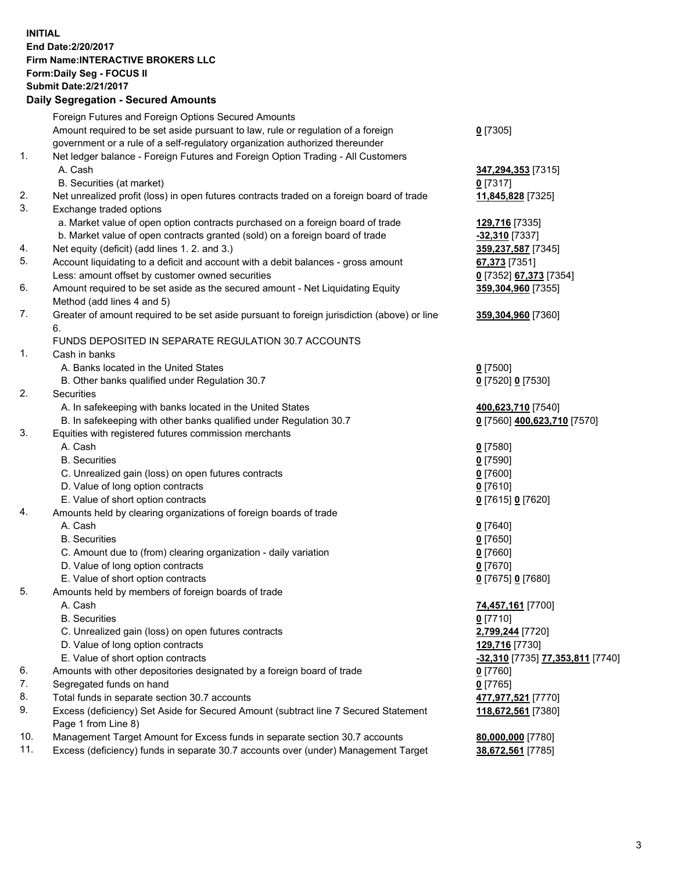## **INITIAL End Date:2/20/2017 Firm Name:INTERACTIVE BROKERS LLC Form:Daily Seg - FOCUS II Submit Date:2/21/2017 Daily Segregation - Secured Amounts**

|     | Foreign Futures and Foreign Options Secured Amounts                                         |                                  |
|-----|---------------------------------------------------------------------------------------------|----------------------------------|
|     | Amount required to be set aside pursuant to law, rule or regulation of a foreign            | $0$ [7305]                       |
|     | government or a rule of a self-regulatory organization authorized thereunder                |                                  |
| 1.  | Net ledger balance - Foreign Futures and Foreign Option Trading - All Customers             |                                  |
|     | A. Cash                                                                                     | 347,294,353 [7315]               |
|     | B. Securities (at market)                                                                   | $0$ [7317]                       |
| 2.  | Net unrealized profit (loss) in open futures contracts traded on a foreign board of trade   | 11,845,828 [7325]                |
| 3.  | Exchange traded options                                                                     |                                  |
|     | a. Market value of open option contracts purchased on a foreign board of trade              | 129,716 [7335]                   |
|     | b. Market value of open contracts granted (sold) on a foreign board of trade                | -32,310 [7337]                   |
| 4.  | Net equity (deficit) (add lines 1.2. and 3.)                                                | 359,237,587 [7345]               |
| 5.  | Account liquidating to a deficit and account with a debit balances - gross amount           | 67,373 [7351]                    |
|     | Less: amount offset by customer owned securities                                            | 0 [7352] 67,373 [7354]           |
| 6.  | Amount required to be set aside as the secured amount - Net Liquidating Equity              | 359,304,960 [7355]               |
|     | Method (add lines 4 and 5)                                                                  |                                  |
| 7.  | Greater of amount required to be set aside pursuant to foreign jurisdiction (above) or line | 359,304,960 [7360]               |
|     | 6.                                                                                          |                                  |
|     | FUNDS DEPOSITED IN SEPARATE REGULATION 30.7 ACCOUNTS                                        |                                  |
| 1.  | Cash in banks                                                                               |                                  |
|     | A. Banks located in the United States                                                       | $0$ [7500]                       |
|     |                                                                                             |                                  |
| 2.  | B. Other banks qualified under Regulation 30.7<br>Securities                                | 0 [7520] 0 [7530]                |
|     |                                                                                             |                                  |
|     | A. In safekeeping with banks located in the United States                                   | 400,623,710 [7540]               |
|     | B. In safekeeping with other banks qualified under Regulation 30.7                          | 0 [7560] 400,623,710 [7570]      |
| 3.  | Equities with registered futures commission merchants                                       |                                  |
|     | A. Cash                                                                                     | $0$ [7580]                       |
|     | <b>B.</b> Securities                                                                        | $0$ [7590]                       |
|     | C. Unrealized gain (loss) on open futures contracts                                         | $0$ [7600]                       |
|     | D. Value of long option contracts                                                           | $0$ [7610]                       |
|     | E. Value of short option contracts                                                          | 0 [7615] 0 [7620]                |
| 4.  | Amounts held by clearing organizations of foreign boards of trade                           |                                  |
|     | A. Cash                                                                                     | $0$ [7640]                       |
|     | <b>B.</b> Securities                                                                        | $0$ [7650]                       |
|     | C. Amount due to (from) clearing organization - daily variation                             | $0$ [7660]                       |
|     | D. Value of long option contracts                                                           | $0$ [7670]                       |
|     | E. Value of short option contracts                                                          | 0 [7675] 0 [7680]                |
| 5.  | Amounts held by members of foreign boards of trade                                          |                                  |
|     | A. Cash                                                                                     | 74,457,161 [7700]                |
|     | <b>B.</b> Securities                                                                        | $0$ [7710]                       |
|     | C. Unrealized gain (loss) on open futures contracts                                         | 2,799,244 [7720]                 |
|     | D. Value of long option contracts                                                           | 129,716 [7730]                   |
|     | E. Value of short option contracts                                                          | -32,310 [7735] 77,353,811 [7740] |
| 6.  | Amounts with other depositories designated by a foreign board of trade                      | $0$ [7760]                       |
| 7.  | Segregated funds on hand                                                                    | $0$ [7765]                       |
| 8.  | Total funds in separate section 30.7 accounts                                               | 477,977,521 [7770]               |
| 9.  | Excess (deficiency) Set Aside for Secured Amount (subtract line 7 Secured Statement         | 118,672,561 [7380]               |
|     | Page 1 from Line 8)                                                                         |                                  |
| 10. | Management Target Amount for Excess funds in separate section 30.7 accounts                 | 80,000,000 [7780]                |
| 11. | Excess (deficiency) funds in separate 30.7 accounts over (under) Management Target          | 38,672,561 [7785]                |
|     |                                                                                             |                                  |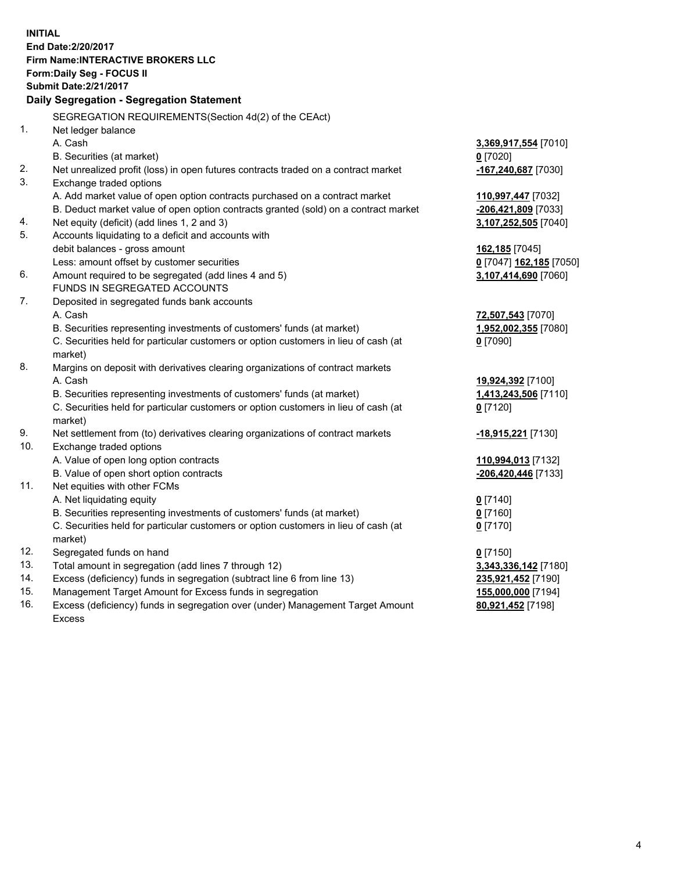**INITIAL End Date:2/20/2017 Firm Name:INTERACTIVE BROKERS LLC Form:Daily Seg - FOCUS II Submit Date:2/21/2017 Daily Segregation - Segregation Statement** SEGREGATION REQUIREMENTS(Section 4d(2) of the CEAct) 1. Net ledger balance A. Cash **3,369,917,554** [7010] B. Securities (at market) **0** [7020] 2. Net unrealized profit (loss) in open futures contracts traded on a contract market **-167,240,687** [7030] 3. Exchange traded options A. Add market value of open option contracts purchased on a contract market **110,997,447** [7032] B. Deduct market value of open option contracts granted (sold) on a contract market **-206,421,809** [7033] 4. Net equity (deficit) (add lines 1, 2 and 3) **3,107,252,505** [7040] 5. Accounts liquidating to a deficit and accounts with debit balances - gross amount **162,185** [7045] Less: amount offset by customer securities **0** [7047] **162,185** [7050] 6. Amount required to be segregated (add lines 4 and 5) **3,107,414,690** [7060] FUNDS IN SEGREGATED ACCOUNTS 7. Deposited in segregated funds bank accounts A. Cash **72,507,543** [7070] B. Securities representing investments of customers' funds (at market) **1,952,002,355** [7080] C. Securities held for particular customers or option customers in lieu of cash (at market) **0** [7090] 8. Margins on deposit with derivatives clearing organizations of contract markets A. Cash **19,924,392** [7100] B. Securities representing investments of customers' funds (at market) **1,413,243,506** [7110] C. Securities held for particular customers or option customers in lieu of cash (at market) **0** [7120] 9. Net settlement from (to) derivatives clearing organizations of contract markets **-18,915,221** [7130] 10. Exchange traded options A. Value of open long option contracts **110,994,013** [7132] B. Value of open short option contracts **-206,420,446** [7133] 11. Net equities with other FCMs A. Net liquidating equity **0** [7140] B. Securities representing investments of customers' funds (at market) **0** [7160] C. Securities held for particular customers or option customers in lieu of cash (at market) **0** [7170] 12. Segregated funds on hand **0** [7150] 13. Total amount in segregation (add lines 7 through 12) **3,343,336,142** [7180] 14. Excess (deficiency) funds in segregation (subtract line 6 from line 13) **235,921,452** [7190] 15. Management Target Amount for Excess funds in segregation **155,000,000** [7194] **80,921,452** [7198]

16. Excess (deficiency) funds in segregation over (under) Management Target Amount Excess